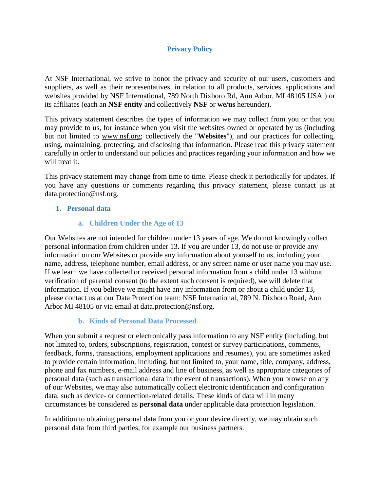### **Privacy Policy**

At NSF International, we strive to honor the privacy and security of our users, customers and suppliers, as well as their representatives, in relation to all products, services, applications and websites provided by NSF International, 789 North Dixboro Rd, Ann Arbor, MI 48105 USA ) or its affiliates (each an **NSF entity** and collectively **NSF** or **we/us** hereunder).

This privacy statement describes the types of information we may collect from you or that you may provide to us, for instance when you visit the websites owned or operated by us (including but not limited to [www.nsf.org;](http://www.nsf.org/) collectively the "**Websites**"), and our practices for collecting, using, maintaining, protecting, and disclosing that information. Please read this privacy statement carefully in order to understand our policies and practices regarding your information and how we will treat it.

This privacy statement may change from time to time. Please check it periodically for updates. If you have any questions or comments regarding this privacy statement, please contact us at data.protection@nsf.org.

### **1. Personal data**

#### **a. Children Under the Age of 13**

Our Websites are not intended for children under 13 years of age. We do not knowingly collect personal information from children under 13. If you are under 13, do not use or provide any information on our Websites or provide any information about yourself to us, including your name, address, telephone number, email address, or any screen name or user name you may use. If we learn we have collected or received personal information from a child under 13 without verification of parental consent (to the extent such consent is required), we will delete that information. If you believe we might have any information from or about a child under 13, please contact us at our Data Protection team: NSF International, 789 N. Dixboro Road, Ann Arbor MI 48105 or via email at [data.protection@nsf.org.](mailto:data.protection@nsf.org)

#### **b. Kinds of Personal Data Processed**

When you submit a request or electronically pass information to any NSF entity (including, but not limited to, orders, subscriptions, registration, contest or survey participations, comments, feedback, forms, transactions, employment applications and resumes), you are sometimes asked to provide certain information, including, but not limited to, your name, title, company, address, phone and fax numbers, e-mail address and line of business, as well as appropriate categories of personal data (such as transactional data in the event of transactions). When you browse on any of our Websites, we may also automatically collect electronic identification and configuration data, such as device- or connection-related details. These kinds of data will in many circumstances be considered as **personal data** under applicable data protection legislation.

In addition to obtaining personal data from you or your device directly, we may obtain such personal data from third parties, for example our business partners.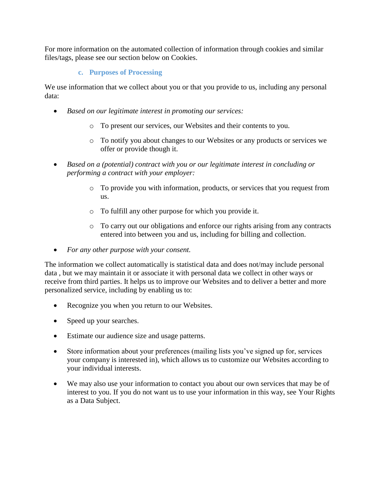For more information on the automated collection of information through cookies and similar files/tags, please see our section below on [Cookies.](#page-4-0)

### **c. Purposes of Processing**

We use information that we collect about you or that you provide to us, including any personal data:

- *Based on our legitimate interest in promoting our services:*
	- o To present our services, our Websites and their contents to you.
	- o To notify you about changes to our Websites or any products or services we offer or provide though it.
- *Based on a (potential) contract with you or our legitimate interest in concluding or performing a contract with your employer:*
	- o To provide you with information, products, or services that you request from us.
	- o To fulfill any other purpose for which you provide it.
	- o To carry out our obligations and enforce our rights arising from any contracts entered into between you and us, including for billing and collection.
- *For any other purpose with your consent.*

The information we collect automatically is statistical data and does not/may include personal data , but we may maintain it or associate it with personal data we collect in other ways or receive from third parties. It helps us to improve our Websites and to deliver a better and more personalized service, including by enabling us to:

- Recognize you when you return to our Websites.
- Speed up your searches.
- Estimate our audience size and usage patterns.
- Store information about your preferences (mailing lists you've signed up for, services your company is interested in), which allows us to customize our Websites according to your individual interests.
- We may also use your information to contact you about our own services that may be of interest to you. If you do not want us to use your information in this way, see [Your Rights](#page-2-0)  [as a Data Subject.](#page-2-0)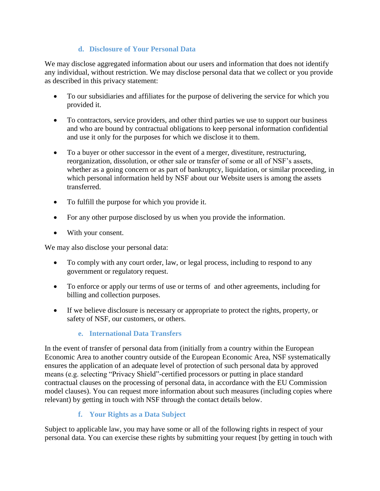### **d. Disclosure of Your Personal Data**

We may disclose aggregated information about our users and information that does not identify any individual, without restriction. We may disclose personal data that we collect or you provide as described in this privacy statement:

- To our subsidiaries and affiliates for the purpose of delivering the service for which you provided it.
- To contractors, service providers, and other third parties we use to support our business and who are bound by contractual obligations to keep personal information confidential and use it only for the purposes for which we disclose it to them.
- To a buyer or other successor in the event of a merger, divestiture, restructuring, reorganization, dissolution, or other sale or transfer of some or all of NSF's assets, whether as a going concern or as part of bankruptcy, liquidation, or similar proceeding, in which personal information held by NSF about our Website users is among the assets transferred.
- To fulfill the purpose for which you provide it.
- For any other purpose disclosed by us when you provide the information.
- With your consent.

We may also disclose your personal data:

- To comply with any court order, law, or legal process, including to respond to any government or regulatory request.
- To enforce or apply our terms of use or terms of and other agreements, including for billing and collection purposes.
- If we believe disclosure is necessary or appropriate to protect the rights, property, or safety of NSF, our customers, or others.

# **e. International Data Transfers**

In the event of transfer of personal data from (initially from a country within the European Economic Area to another country outside of the European Economic Area, NSF systematically ensures the application of an adequate level of protection of such personal data by approved means (e.g. selecting "Privacy Shield"-certified processors or putting in place standard contractual clauses on the processing of personal data, in accordance with the EU Commission model clauses). You can request more information about such measures (including copies where relevant) by getting in touch with NSF through the contact details below.

# **f. Your Rights as a Data Subject**

<span id="page-2-0"></span>Subject to applicable law, you may have some or all of the following rights in respect of your personal data. You can exercise these rights by submitting your request [by getting in touch with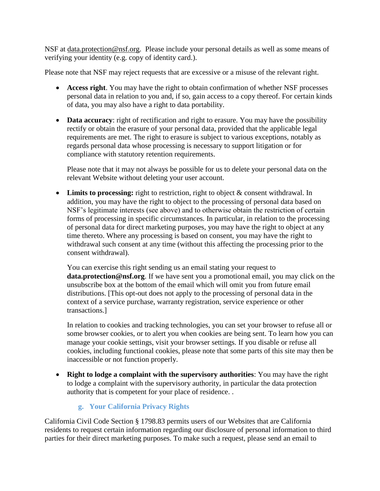NSF at [data.protection@nsf.org.](mailto:data.protection@nsf.org) Please include your personal details as well as some means of verifying your identity (e.g. copy of identity card.).

Please note that NSF may reject requests that are excessive or a misuse of the relevant right.

- **Access right**. You may have the right to obtain confirmation of whether NSF processes personal data in relation to you and, if so, gain access to a copy thereof. For certain kinds of data, you may also have a right to data portability.
- **Data accuracy**: right of rectification and right to erasure. You may have the possibility rectify or obtain the erasure of your personal data, provided that the applicable legal requirements are met. The right to erasure is subject to various exceptions, notably as regards personal data whose processing is necessary to support litigation or for compliance with statutory retention requirements.

Please note that it may not always be possible for us to delete your personal data on the relevant Website without deleting your user account.

• Limits to processing: right to restriction, right to object & consent withdrawal. In addition, you may have the right to object to the processing of personal data based on NSF's legitimate interests (see above) and to otherwise obtain the restriction of certain forms of processing in specific circumstances. In particular, in relation to the processing of personal data for direct marketing purposes, you may have the right to object at any time thereto. Where any processing is based on consent, you may have the right to withdrawal such consent at any time (without this affecting the processing prior to the consent withdrawal).

You can exercise this right sending us an email stating your request to **data.protection@nsf.org**. If we have sent you a promotional email, you may click on the unsubscribe box at the bottom of the email which will omit you from future email distributions. [This opt-out does not apply to the processing of personal data in the context of a service purchase, warranty registration, service experience or other transactions.]

In relation to cookies and tracking technologies, you can set your browser to refuse all or some browser cookies, or to alert you when cookies are being sent. To learn how you can manage your cookie settings, visit your browser settings. If you disable or refuse all cookies, including functional cookies, please note that some parts of this site may then be inaccessible or not function properly.

• **Right to lodge a complaint with the supervisory authorities**: You may have the right to lodge a complaint with the supervisory authority, in particular the data protection authority that is competent for your place of residence. .

# **g. Your California Privacy Rights**

California Civil Code Section § 1798.83 permits users of our Websites that are California residents to request certain information regarding our disclosure of personal information to third parties for their direct marketing purposes. To make such a request, please send an email to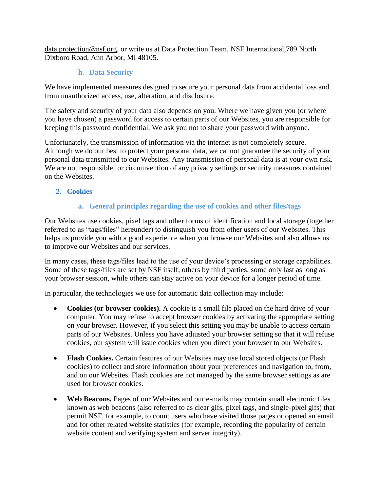[data.protection@nsf.org,](mailto:data.protection@nsf.org) or write us at Data Protection Team, NSF International,789 North Dixboro Road, Ann Arbor, MI 48105.

### **h. Data Security**

We have implemented measures designed to secure your personal data from accidental loss and from unauthorized access, use, alteration, and disclosure.

The safety and security of your data also depends on you. Where we have given you (or where you have chosen) a password for access to certain parts of our Websites, you are responsible for keeping this password confidential. We ask you not to share your password with anyone.

Unfortunately, the transmission of information via the internet is not completely secure. Although we do our best to protect your personal data, we cannot guarantee the security of your personal data transmitted to our Websites. Any transmission of personal data is at your own risk. We are not responsible for circumvention of any privacy settings or security measures contained on the Websites.

<span id="page-4-0"></span>**2. Cookies**

# **a. General principles regarding the use of cookies and other files/tags**

Our Websites use cookies, pixel tags and other forms of identification and local storage (together referred to as "tags/files" hereunder) to distinguish you from other users of our Websites. This helps us provide you with a good experience when you browse our Websites and also allows us to improve our Websites and our services.

In many cases, these tags/files lead to the use of your device's processing or storage capabilities. Some of these tags/files are set by NSF itself, others by third parties; some only last as long as your browser session, while others can stay active on your device for a longer period of time.

In particular, the technologies we use for automatic data collection may include:

- **Cookies (or browser cookies).** A cookie is a small file placed on the hard drive of your computer. You may refuse to accept browser cookies by activating the appropriate setting on your browser. However, if you select this setting you may be unable to access certain parts of our Websites. Unless you have adjusted your browser setting so that it will refuse cookies, our system will issue cookies when you direct your browser to our Websites.
- **Flash Cookies.** Certain features of our Websites may use local stored objects (or Flash cookies) to collect and store information about your preferences and navigation to, from, and on our Websites. Flash cookies are not managed by the same browser settings as are used for browser cookies.
- **Web Beacons.** Pages of our Websites and our e-mails may contain small electronic files known as web beacons (also referred to as clear gifs, pixel tags, and single-pixel gifs) that permit NSF, for example, to count users who have visited those pages or opened an email and for other related website statistics (for example, recording the popularity of certain website content and verifying system and server integrity).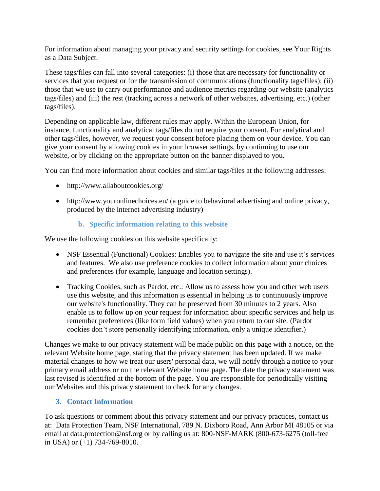For information about managing your privacy and security settings for cookies, see [Your Rights](#page-2-0)  [as a Data Subject.](#page-2-0)

These tags/files can fall into several categories: (i) those that are necessary for functionality or services that you request or for the transmission of communications (functionality tags/files); (ii) those that we use to carry out performance and audience metrics regarding our website (analytics tags/files) and (iii) the rest (tracking across a network of other websites, advertising, etc.) (other tags/files).

Depending on applicable law, different rules may apply. Within the European Union, for instance, functionality and analytical tags/files do not require your consent. For analytical and other tags/files, however, we request your consent before placing them on your device. You can give your consent by allowing cookies in your browser settings, by continuing to use our website, or by clicking on the appropriate button on the banner displayed to you.

You can find more information about cookies and similar tags/files at the following addresses:

- http://www.allaboutcookies.org/
- http://www.youronlinechoices.eu/ (a guide to behavioral advertising and online privacy, produced by the internet advertising industry)

### **b. Specific information relating to this website**

We use the following cookies on this website specifically:

- NSF Essential (Functional) Cookies: Enables you to navigate the site and use it's services and features. We also use preference cookies to collect information about your choices and preferences (for example, language and location settings).
- Tracking Cookies, such as Pardot, etc.: Allow us to assess how you and other web users use this website, and this information is essential in helping us to continuously improve our website's functionality. They can be preserved from 30 minutes to 2 years. Also enable us to follow up on your request for information about specific services and help us remember preferences (like form field values) when you return to our site. (Pardot cookies don't store personally identifying information, only a unique identifier.)

Changes we make to our privacy statement will be made public on this page with a notice, on the relevant Website home page, stating that the privacy statement has been updated. If we make material changes to how we treat our users' personal data, we will notify through a notice to your primary email address or on the relevant Website home page. The date the privacy statement was last revised is identified at the bottom of the page. You are responsible for periodically visiting our Websites and this privacy statement to check for any changes.

#### **3. Contact Information**

To ask questions or comment about this privacy statement and our privacy practices, contact us at: Data Protection Team, NSF International, 789 N. Dixboro Road, Ann Arbor MI 48105 or via email at [data.protection@nsf.org](mailto:data.protection@nsf.org) or by calling us at: 800-NSF-MARK (800-673-6275 (toll-free in USA) or (+1) 734-769-8010.